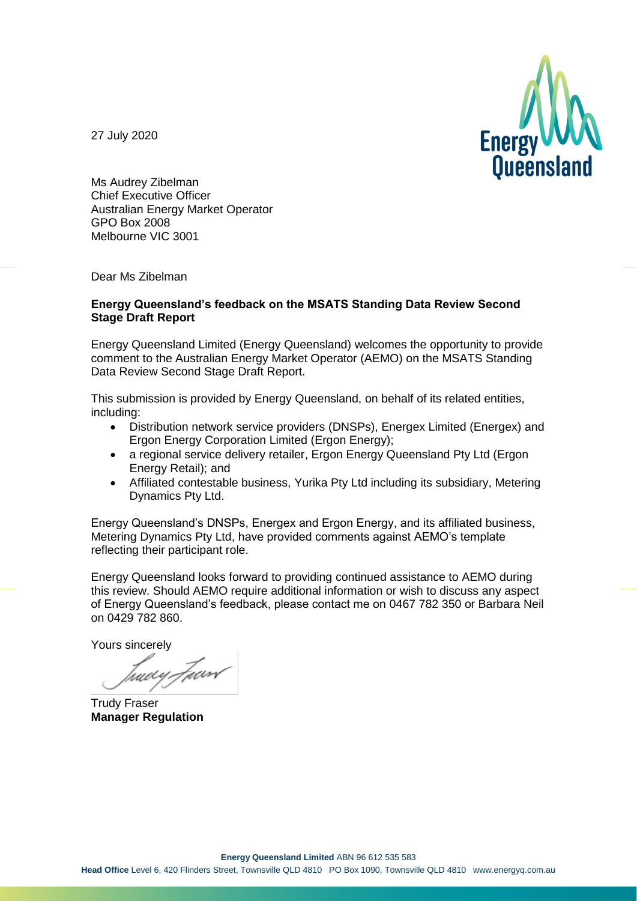

27 July 2020

Ms Audrey Zibelman Chief Executive Officer Australian Energy Market Operator GPO Box 2008 Melbourne VIC 3001

Dear Ms Zibelman

#### **Energy Queensland's feedback on the MSATS Standing Data Review Second Stage Draft Report**

Energy Queensland Limited (Energy Queensland) welcomes the opportunity to provide comment to the Australian Energy Market Operator (AEMO) on the MSATS Standing Data Review Second Stage Draft Report.

This submission is provided by Energy Queensland, on behalf of its related entities, including:

- Distribution network service providers (DNSPs), Energex Limited (Energex) and Ergon Energy Corporation Limited (Ergon Energy);
- a regional service delivery retailer, Ergon Energy Queensland Pty Ltd (Ergon Energy Retail); and
- Affiliated contestable business, Yurika Pty Ltd including its subsidiary, Metering Dynamics Pty Ltd.

Energy Queensland's DNSPs, Energex and Ergon Energy, and its affiliated business, Metering Dynamics Pty Ltd, have provided comments against AEMO's template reflecting their participant role.

Energy Queensland looks forward to providing continued assistance to AEMO during this review. Should AEMO require additional information or wish to discuss any aspect of Energy Queensland's feedback, please contact me on 0467 782 350 or Barbara Neil on 0429 782 860.

Yours sincerely

tuery Fund

Trudy Fraser **Manager Regulation**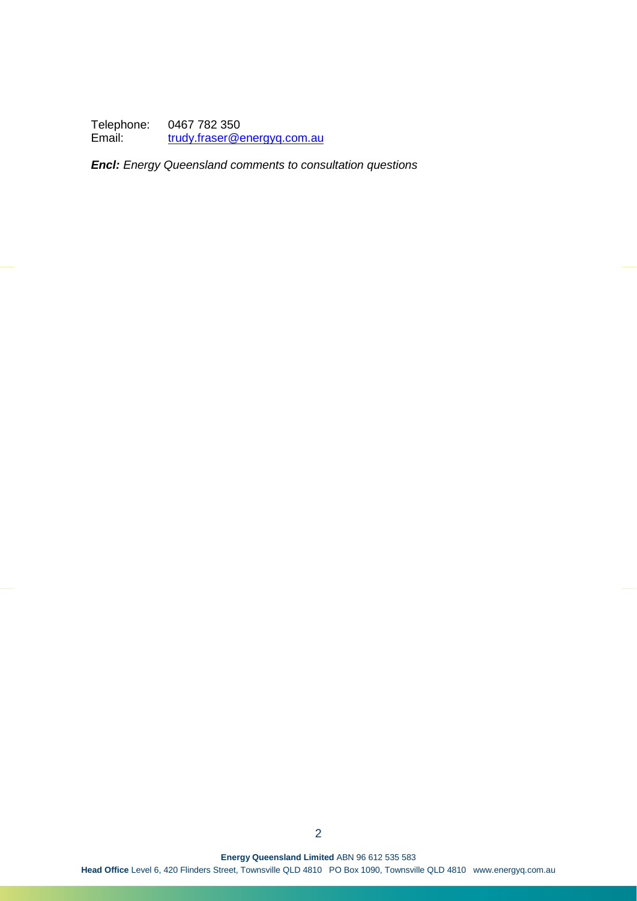Telephone: 0467 782 350<br>Email: trudy.fraser@e [trudy.fraser@energyq.com.au](mailto:trudy.fraser@energyq.com.au)

*Encl: Energy Queensland comments to consultation questions*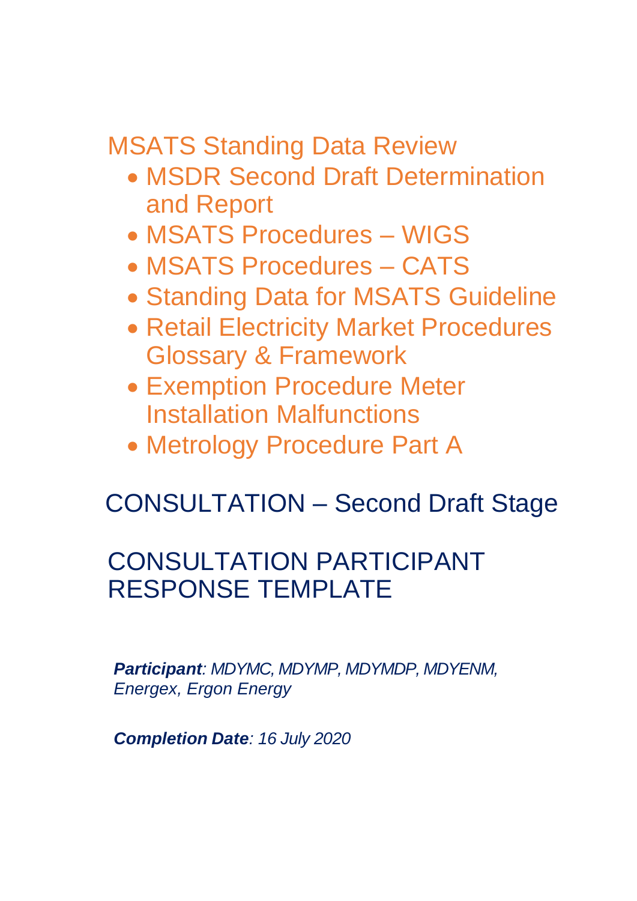MSATS Standing Data Review

- MSDR Second Draft Determination and Report
- MSATS Procedures WIGS
- MSATS Procedures CATS
- Standing Data for MSATS Guideline
- Retail Electricity Market Procedures Glossary & Framework
- Exemption Procedure Meter Installation Malfunctions
- Metrology Procedure Part A

# CONSULTATION – Second Draft Stage

## CONSULTATION PARTICIPANT RESPONSE TEMPLATE

*Participant: MDYMC, MDYMP, MDYMDP, MDYENM, Energex, Ergon Energy*

*Completion Date: 16 July 2020*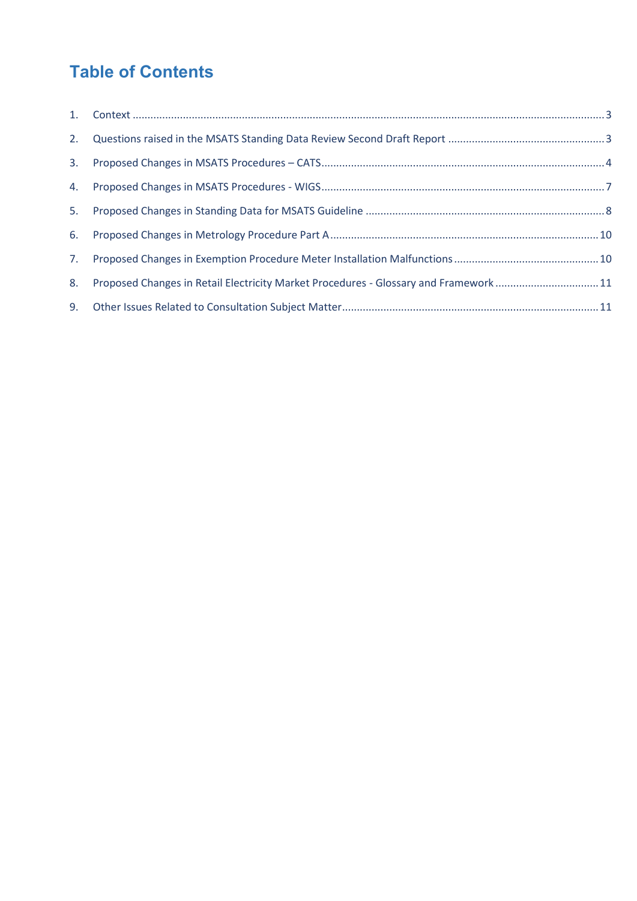### **Table of Contents**

| 8. | Proposed Changes in Retail Electricity Market Procedures - Glossary and Framework 11 |  |
|----|--------------------------------------------------------------------------------------|--|
|    |                                                                                      |  |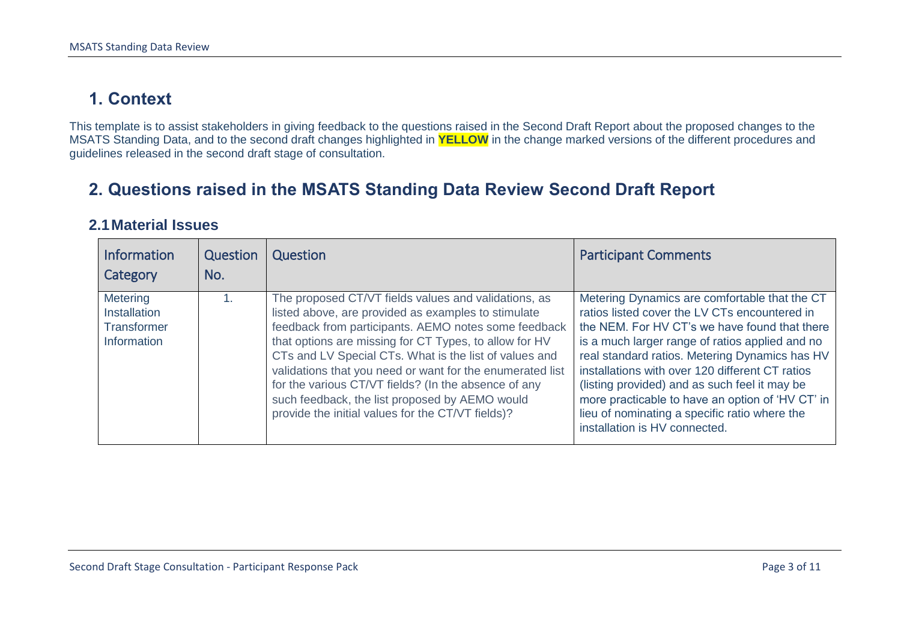### **1. Context**

This template is to assist stakeholders in giving feedback to the questions raised in the Second Draft Report about the proposed changes to the MSATS Standing Data, and to the second draft changes highlighted in **YELLOW** in the change marked versions of the different procedures and guidelines released in the second draft stage of consultation.

#### **2. Questions raised in the MSATS Standing Data Review Second Draft Report**

#### **2.1Material Issues**

<span id="page-4-1"></span><span id="page-4-0"></span>

| <b>Information</b><br>Category                                | Question<br>No. | Question                                                                                                                                                                                                                                                                                                                                                                                                                                                                                                            | <b>Participant Comments</b>                                                                                                                                                                                                                                                                                                                                                                                                                                                                    |
|---------------------------------------------------------------|-----------------|---------------------------------------------------------------------------------------------------------------------------------------------------------------------------------------------------------------------------------------------------------------------------------------------------------------------------------------------------------------------------------------------------------------------------------------------------------------------------------------------------------------------|------------------------------------------------------------------------------------------------------------------------------------------------------------------------------------------------------------------------------------------------------------------------------------------------------------------------------------------------------------------------------------------------------------------------------------------------------------------------------------------------|
| <b>Metering</b><br>Installation<br>Transformer<br>Information | 1.              | The proposed CT/VT fields values and validations, as<br>listed above, are provided as examples to stimulate<br>feedback from participants. AEMO notes some feedback<br>that options are missing for CT Types, to allow for HV<br>CTs and LV Special CTs. What is the list of values and<br>validations that you need or want for the enumerated list<br>for the various CT/VT fields? (In the absence of any<br>such feedback, the list proposed by AEMO would<br>provide the initial values for the CT/VT fields)? | Metering Dynamics are comfortable that the CT<br>ratios listed cover the LV CTs encountered in<br>the NEM. For HV CT's we have found that there<br>is a much larger range of ratios applied and no<br>real standard ratios. Metering Dynamics has HV<br>installations with over 120 different CT ratios<br>(listing provided) and as such feel it may be<br>more practicable to have an option of 'HV CT' in<br>lieu of nominating a specific ratio where the<br>installation is HV connected. |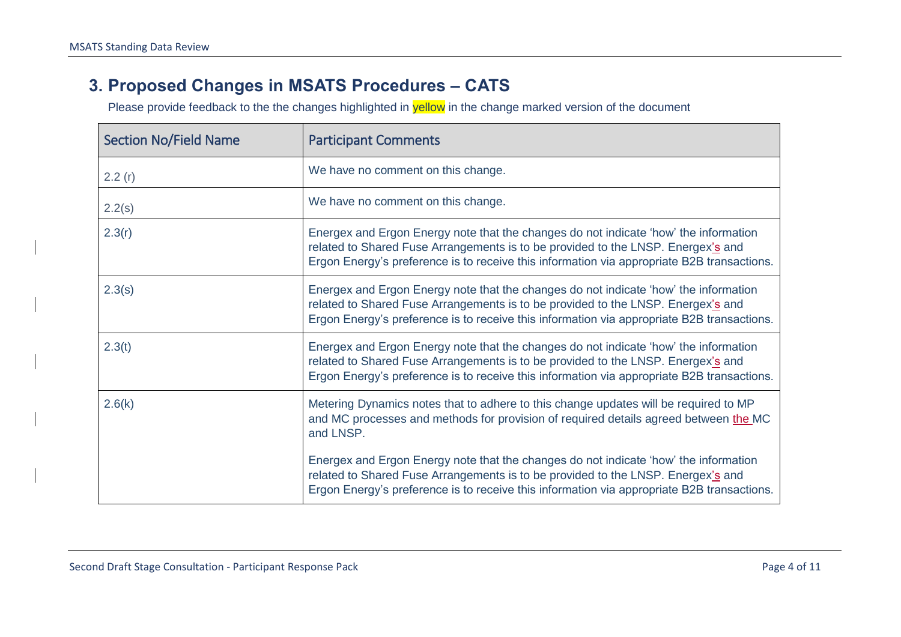#### **3. Proposed Changes in MSATS Procedures – CATS**

<span id="page-5-0"></span>

| <b>Section No/Field Name</b> | <b>Participant Comments</b>                                                                                                                                                                                                                                            |
|------------------------------|------------------------------------------------------------------------------------------------------------------------------------------------------------------------------------------------------------------------------------------------------------------------|
| 2.2(r)                       | We have no comment on this change.                                                                                                                                                                                                                                     |
| 2.2(s)                       | We have no comment on this change.                                                                                                                                                                                                                                     |
| 2.3(r)                       | Energex and Ergon Energy note that the changes do not indicate 'how' the information<br>related to Shared Fuse Arrangements is to be provided to the LNSP. Energex's and<br>Ergon Energy's preference is to receive this information via appropriate B2B transactions. |
| 2.3(s)                       | Energex and Ergon Energy note that the changes do not indicate 'how' the information<br>related to Shared Fuse Arrangements is to be provided to the LNSP. Energex's and<br>Ergon Energy's preference is to receive this information via appropriate B2B transactions. |
| 2.3(t)                       | Energex and Ergon Energy note that the changes do not indicate 'how' the information<br>related to Shared Fuse Arrangements is to be provided to the LNSP. Energex's and<br>Ergon Energy's preference is to receive this information via appropriate B2B transactions. |
| 2.6(k)                       | Metering Dynamics notes that to adhere to this change updates will be required to MP<br>and MC processes and methods for provision of required details agreed between the MC<br>and LNSP.                                                                              |
|                              | Energex and Ergon Energy note that the changes do not indicate 'how' the information<br>related to Shared Fuse Arrangements is to be provided to the LNSP. Energex's and<br>Ergon Energy's preference is to receive this information via appropriate B2B transactions. |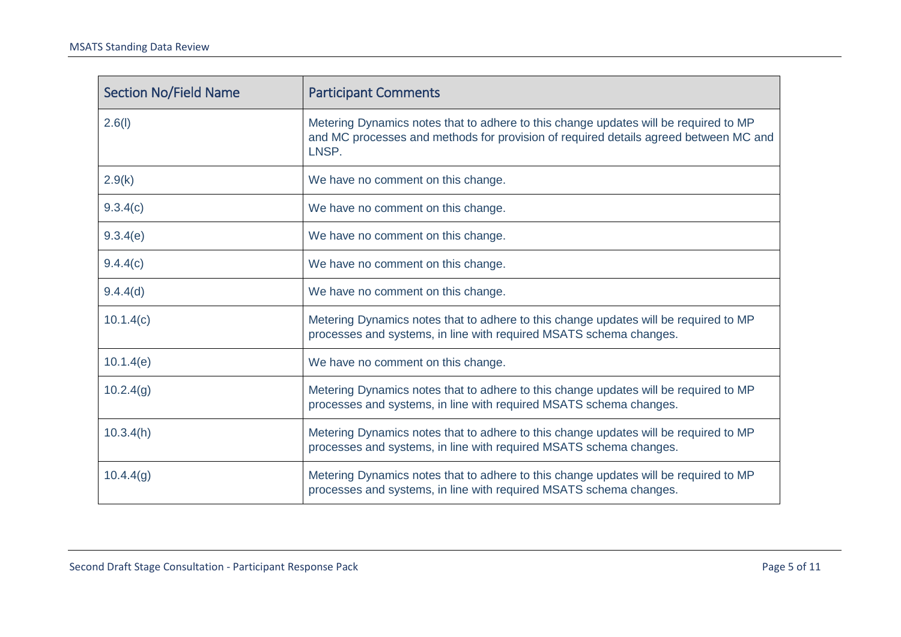| <b>Section No/Field Name</b> | <b>Participant Comments</b>                                                                                                                                                           |
|------------------------------|---------------------------------------------------------------------------------------------------------------------------------------------------------------------------------------|
| 2.6(l)                       | Metering Dynamics notes that to adhere to this change updates will be required to MP<br>and MC processes and methods for provision of required details agreed between MC and<br>LNSP. |
| 2.9(k)                       | We have no comment on this change.                                                                                                                                                    |
| 9.3.4(c)                     | We have no comment on this change.                                                                                                                                                    |
| 9.3.4(e)                     | We have no comment on this change.                                                                                                                                                    |
| 9.4.4(c)                     | We have no comment on this change.                                                                                                                                                    |
| 9.4.4(d)                     | We have no comment on this change.                                                                                                                                                    |
| 10.1.4(c)                    | Metering Dynamics notes that to adhere to this change updates will be required to MP<br>processes and systems, in line with required MSATS schema changes.                            |
| 10.1.4(e)                    | We have no comment on this change.                                                                                                                                                    |
| 10.2.4(g)                    | Metering Dynamics notes that to adhere to this change updates will be required to MP<br>processes and systems, in line with required MSATS schema changes.                            |
| 10.3.4(h)                    | Metering Dynamics notes that to adhere to this change updates will be required to MP<br>processes and systems, in line with required MSATS schema changes.                            |
| 10.4.4(g)                    | Metering Dynamics notes that to adhere to this change updates will be required to MP<br>processes and systems, in line with required MSATS schema changes.                            |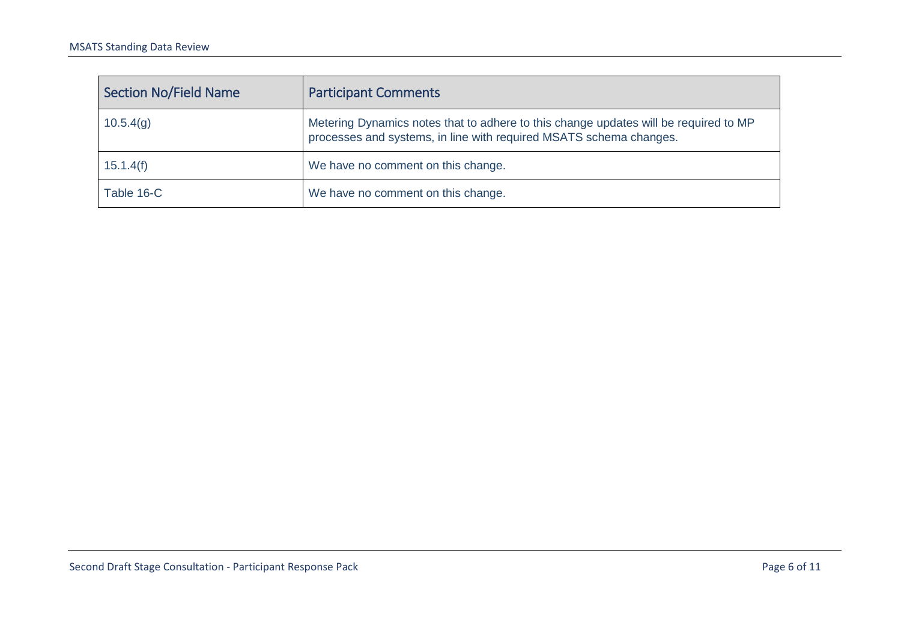| Section No/Field Name | <b>Participant Comments</b>                                                                                                                                |
|-----------------------|------------------------------------------------------------------------------------------------------------------------------------------------------------|
| 10.5.4(q)             | Metering Dynamics notes that to adhere to this change updates will be required to MP<br>processes and systems, in line with required MSATS schema changes. |
| 15.1.4(f)             | We have no comment on this change.                                                                                                                         |
| Table 16-C            | We have no comment on this change.                                                                                                                         |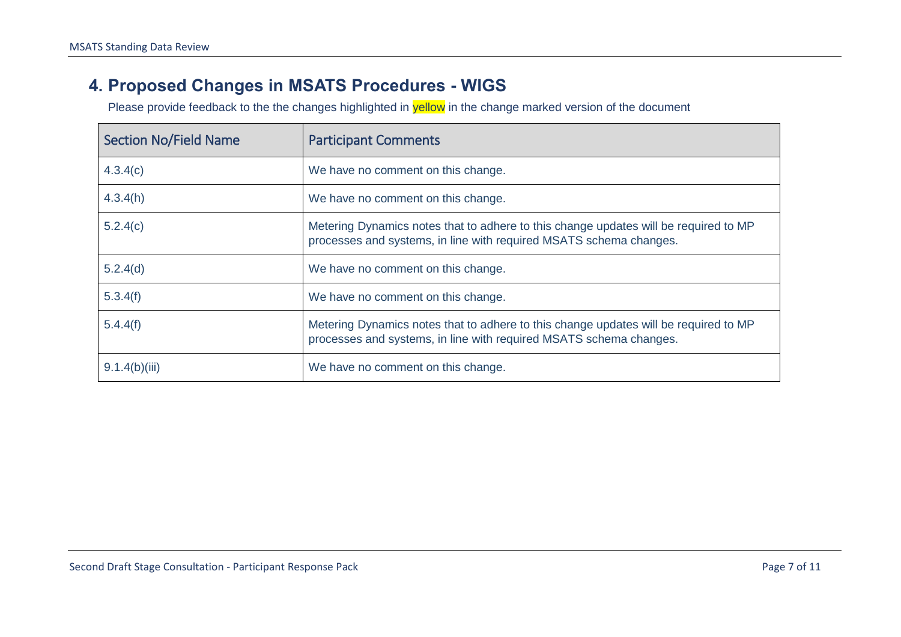#### **4. Proposed Changes in MSATS Procedures - WIGS**

<span id="page-8-0"></span>

| <b>Section No/Field Name</b> | <b>Participant Comments</b>                                                                                                                                |
|------------------------------|------------------------------------------------------------------------------------------------------------------------------------------------------------|
| 4.3.4(c)                     | We have no comment on this change.                                                                                                                         |
| 4.3.4(h)                     | We have no comment on this change.                                                                                                                         |
| 5.2.4(c)                     | Metering Dynamics notes that to adhere to this change updates will be required to MP<br>processes and systems, in line with required MSATS schema changes. |
| 5.2.4(d)                     | We have no comment on this change.                                                                                                                         |
| 5.3.4(f)                     | We have no comment on this change.                                                                                                                         |
| 5.4.4(f)                     | Metering Dynamics notes that to adhere to this change updates will be required to MP<br>processes and systems, in line with required MSATS schema changes. |
| 9.1.4(b)(iii)                | We have no comment on this change.                                                                                                                         |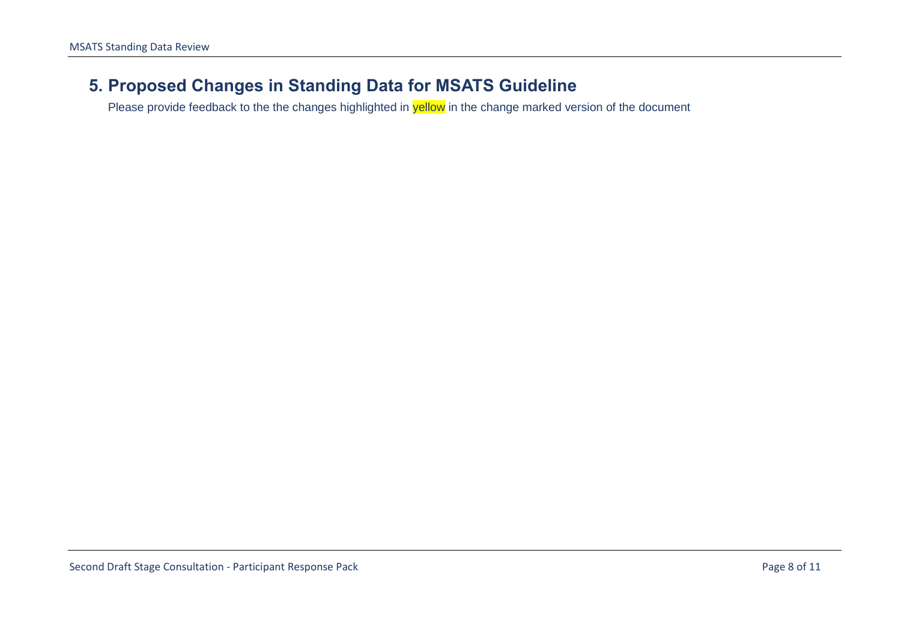#### <span id="page-9-0"></span>**5. Proposed Changes in Standing Data for MSATS Guideline**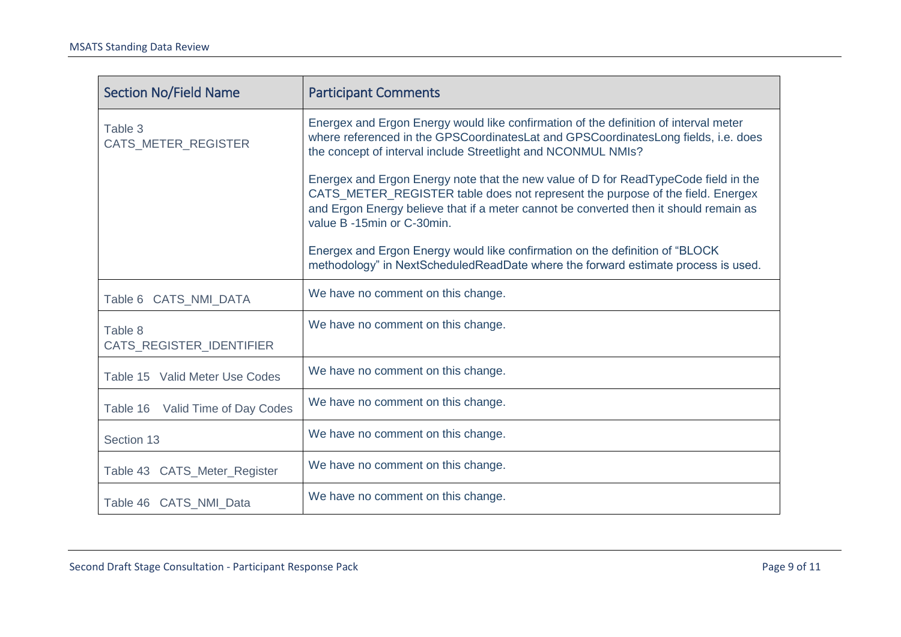| <b>Section No/Field Name</b>        | <b>Participant Comments</b>                                                                                                                                                                                                                                                                  |
|-------------------------------------|----------------------------------------------------------------------------------------------------------------------------------------------------------------------------------------------------------------------------------------------------------------------------------------------|
| Table 3<br>CATS_METER_REGISTER      | Energex and Ergon Energy would like confirmation of the definition of interval meter<br>where referenced in the GPSCoordinatesLat and GPSCoordinatesLong fields, i.e. does<br>the concept of interval include Streetlight and NCONMUL NMIs?                                                  |
|                                     | Energex and Ergon Energy note that the new value of D for ReadTypeCode field in the<br>CATS_METER_REGISTER table does not represent the purpose of the field. Energex<br>and Ergon Energy believe that if a meter cannot be converted then it should remain as<br>value B -15min or C-30min. |
|                                     | Energex and Ergon Energy would like confirmation on the definition of "BLOCK"<br>methodology" in NextScheduledReadDate where the forward estimate process is used.                                                                                                                           |
| Table 6 CATS_NMI_DATA               | We have no comment on this change.                                                                                                                                                                                                                                                           |
| Table 8<br>CATS_REGISTER_IDENTIFIER | We have no comment on this change.                                                                                                                                                                                                                                                           |
| Table 15 Valid Meter Use Codes      | We have no comment on this change.                                                                                                                                                                                                                                                           |
| Table 16 Valid Time of Day Codes    | We have no comment on this change.                                                                                                                                                                                                                                                           |
| Section 13                          | We have no comment on this change.                                                                                                                                                                                                                                                           |
| Table 43 CATS_Meter_Register        | We have no comment on this change.                                                                                                                                                                                                                                                           |
| Table 46 CATS_NMI_Data              | We have no comment on this change.                                                                                                                                                                                                                                                           |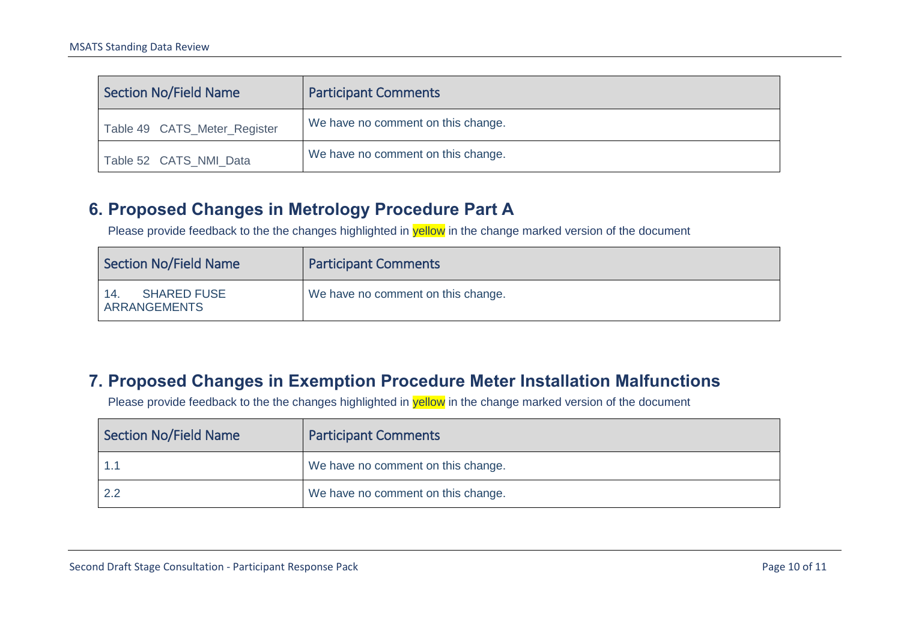| Section No/Field Name        | <b>Participant Comments</b>        |
|------------------------------|------------------------------------|
| Table 49 CATS_Meter_Register | We have no comment on this change. |
| Table 52 CATS_NMI_Data       | We have no comment on this change. |

#### **6. Proposed Changes in Metrology Procedure Part A**

Please provide feedback to the the changes highlighted in **yellow** in the change marked version of the document

| <b>Section No/Field Name</b>       | <b>Participant Comments</b>        |
|------------------------------------|------------------------------------|
| <b>SHARED FUSE</b><br>ARRANGEMENTS | We have no comment on this change. |

#### **7. Proposed Changes in Exemption Procedure Meter Installation Malfunctions**

<span id="page-11-1"></span><span id="page-11-0"></span>

| <b>Section No/Field Name</b> | <b>Participant Comments</b>        |
|------------------------------|------------------------------------|
|                              | We have no comment on this change. |
|                              | We have no comment on this change. |